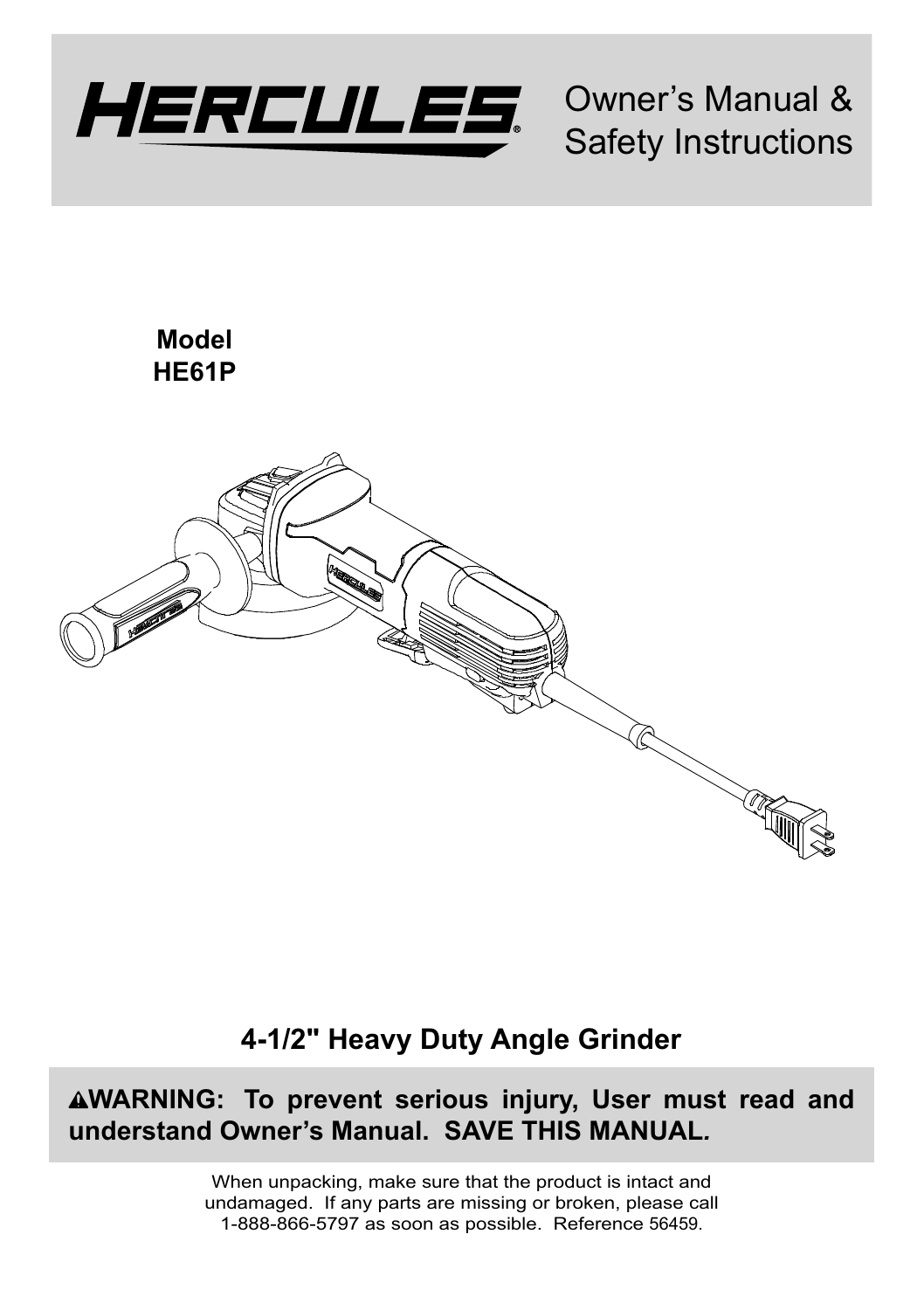

Owner's Manual & Safety Instructions

**Model HE61P**



# **4-1/2" Heavy Duty Angle Grinder**

**WARNING: To prevent serious injury, User must read and understand Owner's Manual. SAVE THIS MANUAL***.*

> When unpacking, make sure that the product is intact and undamaged. If any parts are missing or broken, please call 1-888-866-5797 as soon as possible. Reference 56459.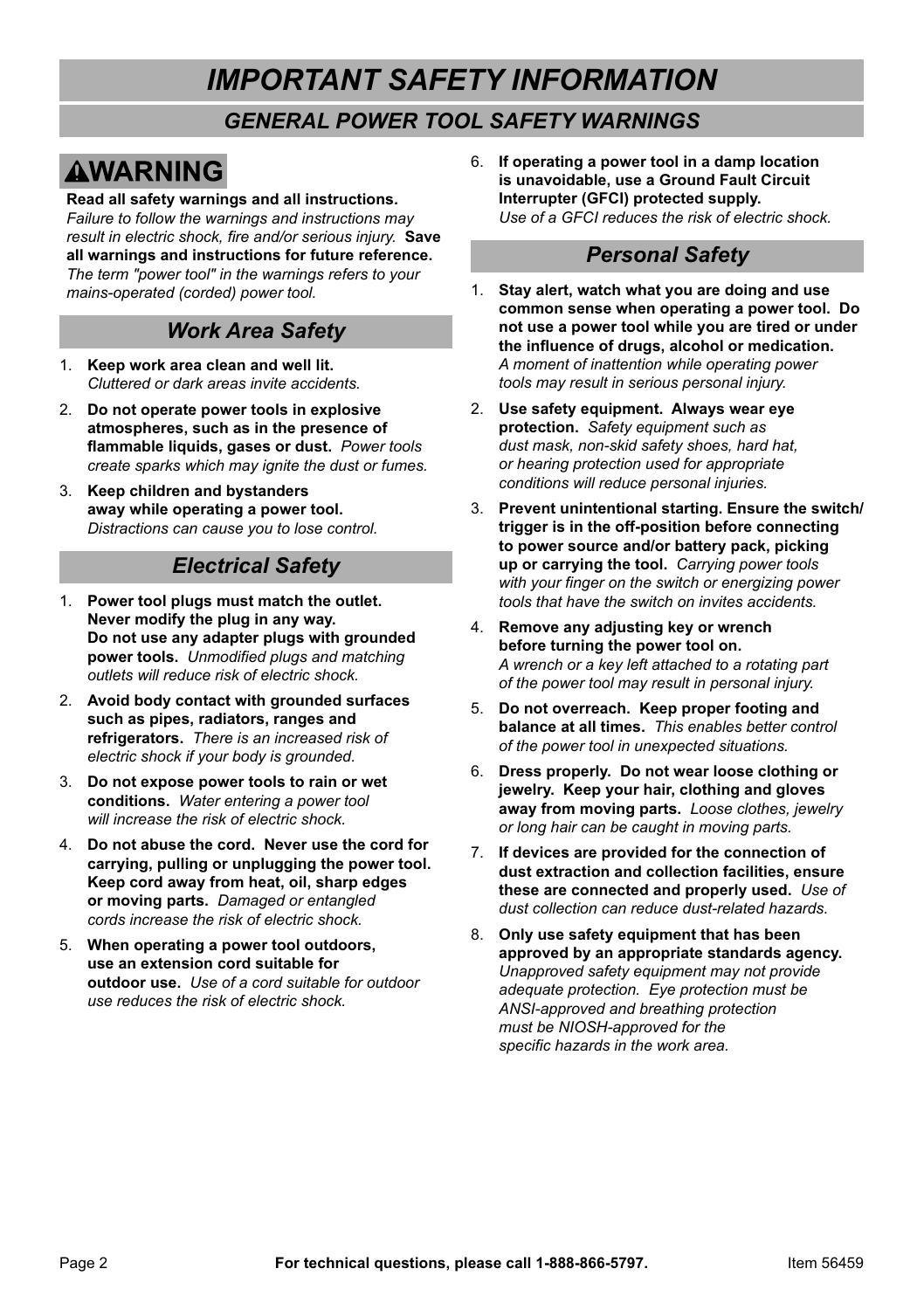# *IMPORTANT SAFETY INFORMATION*

### *GENERAL POWER TOOL SAFETY WARNINGS*

# **AWARNING**

**Read all safety warnings and all instructions.**  *Failure to follow the warnings and instructions may result in electric shock, fire and/or serious injury.* **Save all warnings and instructions for future reference.**  *The term "power tool" in the warnings refers to vour mains-operated (corded) power tool.* 

#### *Work Area Safety*

- 1. **Keep work area clean and well lit.**  *Cluttered or dark areas invite accidents.*
- 2. **Do not operate power tools in explosive atmospheres, such as in the presence of flammable liquids, gases or dust.** *Power tools FIFRER Create sparks which may ignite the dust or fumes.*
- 3. **Keep children and bystanders away while operating a power tool.** *Distractions can cause you to lose control.*

### *Electrical Safety*

- 1. **Power tool plugs must match the outlet. Never modify the plug in any way. Do not use any adapter plugs with grounded power tools.** Unmodified plugs and matching *outlets will reduce risk of electric shock.*
- 2. **Avoid body contact with grounded surfaces such as pipes, radiators, ranges and refrigerators.** *There is an increased risk of electric shock if your body is grounded.*
- 3. **Do not expose power tools to rain or wet**  conditions. Water entering a power tool *will increase the risk of electric shock.*
- 4. **Do not abuse the cord. Never use the cord for carrying, pulling or unplugging the power tool. Keep cord away from heat, oil, sharp edges or moving parts.** *Damaged or entangled cords increase the risk of electric shock.*
- 5. **When operating a power tool outdoors, use an extension cord suitable for outdoor use.** *Use of a cord suitable for outdoor use reduces the risk of electric shock.*

6. **If operating a power tool in a damp location is unavoidable, use a Ground Fault Circuit Interrupter (GFCI) protected supply.** *Use of a GFCI reduces the risk of electric shock.*

#### *Personal Safety*

- 1. **Stay alert, watch what you are doing and use common sense when operating a power tool. Do not use a power tool while you are tired or under the influence of drugs, alcohol or medication.** A moment of inattention while operating power *tools may result in serious personal injury.*
- 2. **Use safety equipment. Always wear eye protection.** Safety equipment such as *dust mask, non-skid safety shoes, hard hat,*  or hearing protection used for appropriate conditions will reduce personal injuries.
- 3. **Prevent unintentional starting. Ensure the switch/ trigger is in the off-position before connecting to power source and/or battery pack, picking**  up or carrying the tool. Carrying power tools *with your finger on the switch or energizing power tools that have the switch on invites accidents.*
- 4. **Remove any adjusting key or wrench before turning the power tool on.** A wrench or a key left attached to a rotating part of the power tool may result in personal injury.
- 5. **Do not overreach. Keep proper footing and balance at all times.** *This enables better control*  of the *power tool* in unexpected situations
- 6. **Dress properly. Do not wear loose clothing or jewelry. Keep your hair, clothing and gloves away from moving parts.** *Loose clothes, jewelry*  or long hair can be caught in moving parts.
- 7. **If devices are provided for the connection of dust extraction and collection facilities, ensure these are connected and properly used.** *Use of dust collection can reduce dust-related hazards.*
- 8. **Only use safety equipment that has been approved by an appropriate standards agency.** Unapproved safety equipment may not provide  $B$ *adequate protection. Eve protection must be* ANSI-approved and breathing protection *<u>P</u> <i>PNIOSH-approved for the* specific hazards in the work area.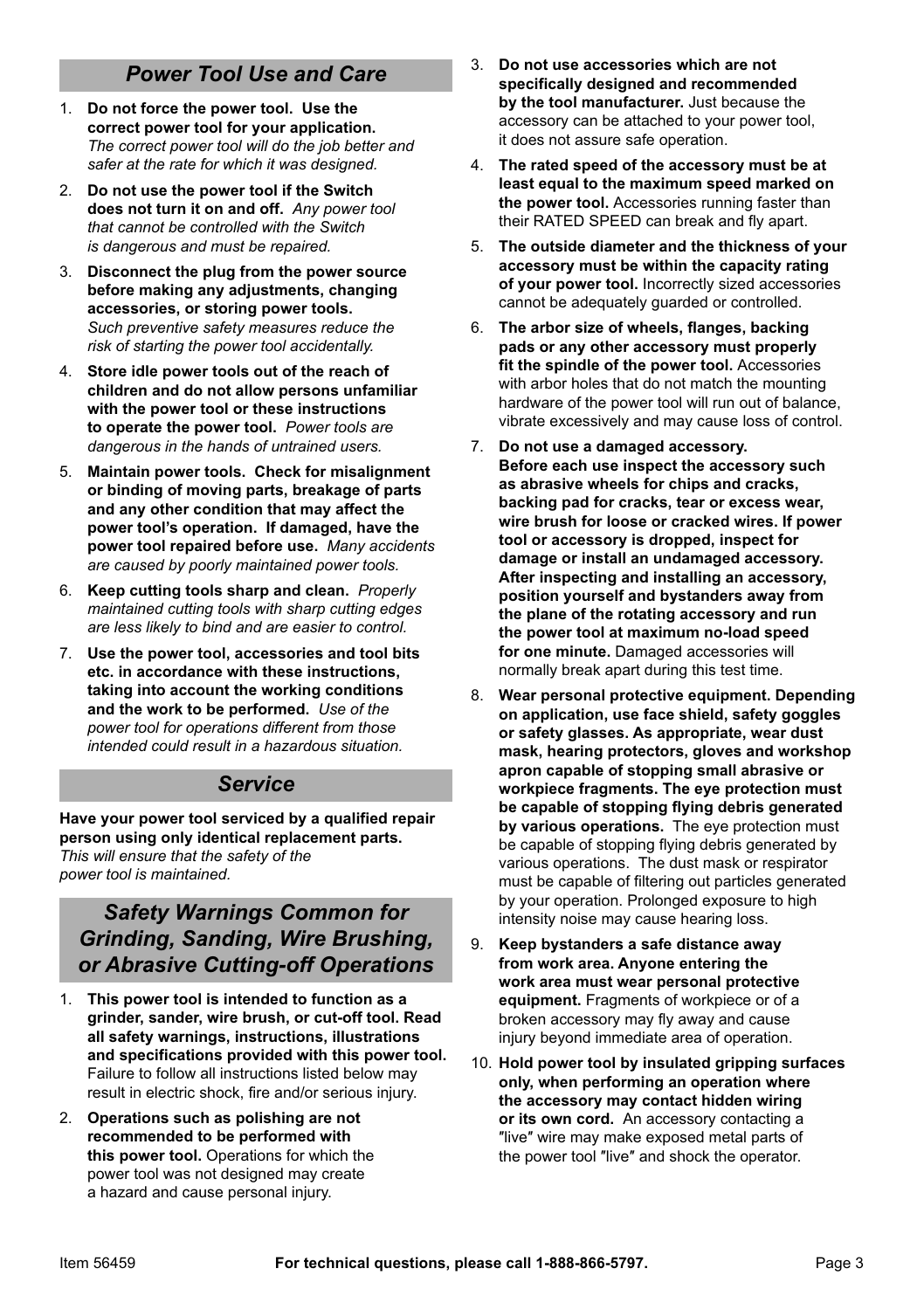## *Power Tool Use and Care*

- 1. **Do not force the power tool. Use the correct power tool for your application.** The correct power tool will do the job better and *safer at the rate for which it was designed.*
- 2. **Do not use the power tool if the Switch does not turn it on and off.** Any power tool *that cannot be controlled with the Switch is dangerous and must be repaired*
- 3. **Disconnect the plug from the power source before making any adjustments, changing accessories, or storing power tools.** *Such preventive safety measures reduce the* risk of starting the power tool accidentally.
- 4. **Store idle power tools out of the reach of children and do not allow persons unfamiliar with the power tool or these instructions to operate the power tool.** *Power tools are dangerous in the hands of untrained users.*
- 5. **Maintain power tools. Check for misalignment or binding of moving parts, breakage of parts and any other condition that may affect the power tool's operation. If damaged, have the power tool repaired before use.** *Many accidents*  are caused by poorly maintained power tools.
- 6. **Keep cutting tools sharp and clean.** Properly *maintained cutting tools with sharp cutting edges are less likely to bind and are easier to control.*
- 7. **Use the power tool, accessories and tool bits etc. in accordance with these instructions, taking into account the working conditions and the work to be performed.** *Use of the DOWER tool for operations different from those intended could result in a hazardous situation.*

#### *Service*

**Have your power tool serviced by a qualified repair person using only identical replacement parts.** *This will ensure that the safety of the power tool is maintained.* 

#### *Safety Warnings Common for Grinding, Sanding, Wire Brushing, or Abrasive Cutting-off Operations*

- 1. **This power tool is intended to function as a grinder, sander, wire brush, or cut-off tool. Read all safety warnings, instructions, illustrations and specifications provided with this power tool.**  Failure to follow all instructions listed below may result in electric shock, fire and/or serious injury.
- 2. **Operations such as polishing are not recommended to be performed with this power tool.** Operations for which the power tool was not designed may create a hazard and cause personal injury.
- 3. **Do not use accessories which are not specifically designed and recommended by the tool manufacturer.** Just because the accessory can be attached to your power tool, it does not assure safe operation.
- 4. **The rated speed of the accessory must be at least equal to the maximum speed marked on the power tool.** Accessories running faster than their RATED SPEED can break and fly apart.
- 5. **The outside diameter and the thickness of your accessory must be within the capacity rating of your power tool.** Incorrectly sized accessories cannot be adequately guarded or controlled.
- 6. **The arbor size of wheels, flanges, backing pads or any other accessory must properly fit the spindle of the power tool.** Accessories with arbor holes that do not match the mounting hardware of the power tool will run out of balance, vibrate excessively and may cause loss of control.
- 7. **Do not use a damaged accessory. Before each use inspect the accessory such as abrasive wheels for chips and cracks, backing pad for cracks, tear or excess wear, wire brush for loose or cracked wires. If power tool or accessory is dropped, inspect for damage or install an undamaged accessory. After inspecting and installing an accessory, position yourself and bystanders away from the plane of the rotating accessory and run the power tool at maximum no-load speed for one minute.** Damaged accessories will normally break apart during this test time.
- 8. **Wear personal protective equipment. Depending on application, use face shield, safety goggles or safety glasses. As appropriate, wear dust mask, hearing protectors, gloves and workshop apron capable of stopping small abrasive or workpiece fragments. The eye protection must be capable of stopping flying debris generated by various operations.** The eye protection must be capable of stopping flying debris generated by various operations. The dust mask or respirator must be capable of filtering out particles generated by your operation. Prolonged exposure to high intensity noise may cause hearing loss.
- 9. **Keep bystanders a safe distance away from work area. Anyone entering the work area must wear personal protective equipment.** Fragments of workpiece or of a broken accessory may fly away and cause injury beyond immediate area of operation.
- 10. **Hold power tool by insulated gripping surfaces only, when performing an operation where the accessory may contact hidden wiring or its own cord.** An accessory contacting a ″live″ wire may make exposed metal parts of the power tool ″live″ and shock the operator.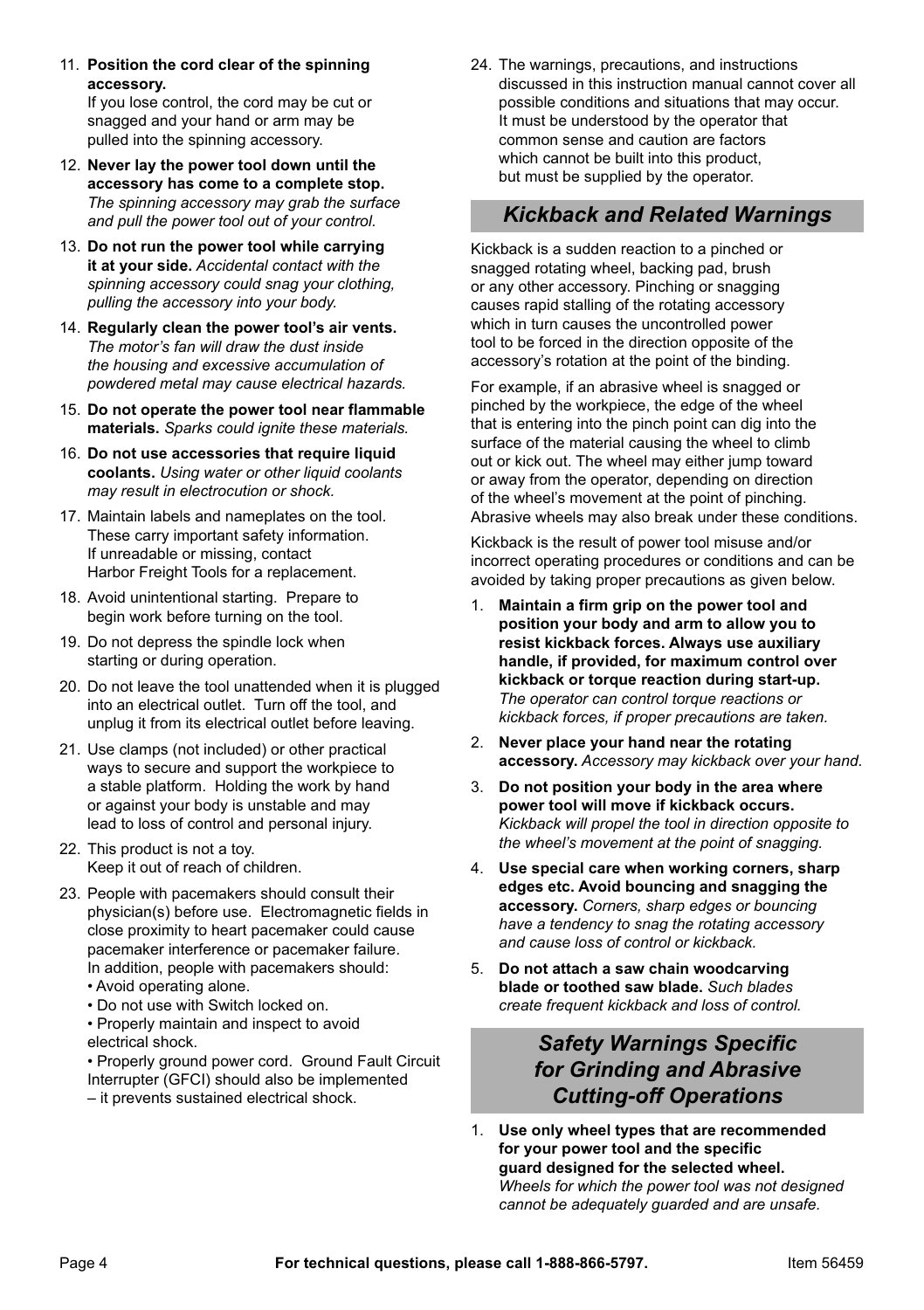11. **Position the cord clear of the spinning accessory.** 

If you lose control, the cord may be cut or snagged and your hand or arm may be pulled into the spinning accessory.

- 12. **Never lay the power tool down until the accessory has come to a complete stop.** The spinning accessory may grab the surface and pull the power tool out of your control.
- 13. **Do not run the power tool while carrying it at your side.** *Accidental contact with the*  spinning accessory could snag your clothing. pulling the accessory into your body.
- 14. **Regularly clean the power tool's air vents.** *The motor's fan will draw the dust inside*  the housing and excessive accumulation of *powdered metal may cause electrical hazards.*
- 15. **Do not operate the power tool near flammable**  materials. Sparks could ignite these materials.
- 16. **Do not use accessories that require liquid coolants.** *Using water or other liquid coolants may result in electrocution or shock.*
- 17. Maintain labels and nameplates on the tool. These carry important safety information. If unreadable or missing, contact Harbor Freight Tools for a replacement.
- 18. Avoid unintentional starting. Prepare to begin work before turning on the tool.
- 19. Do not depress the spindle lock when starting or during operation.
- 20. Do not leave the tool unattended when it is plugged into an electrical outlet. Turn off the tool, and unplug it from its electrical outlet before leaving.
- 21. Use clamps (not included) or other practical ways to secure and support the workpiece to a stable platform. Holding the work by hand or against your body is unstable and may lead to loss of control and personal injury.
- 22. This product is not a toy. Keep it out of reach of children.
- 23. People with pacemakers should consult their physician(s) before use. Electromagnetic fields in close proximity to heart pacemaker could cause pacemaker interference or pacemaker failure. In addition, people with pacemakers should:
	- Avoid operating alone.
	- Do not use with Switch locked on.
	- Properly maintain and inspect to avoid electrical shock.
	- Properly ground power cord. Ground Fault Circuit Interrupter (GFCI) should also be implemented
	- it prevents sustained electrical shock.

24. The warnings, precautions, and instructions discussed in this instruction manual cannot cover all possible conditions and situations that may occur. It must be understood by the operator that common sense and caution are factors which cannot be built into this product but must be supplied by the operator.

#### *Kickback and Related Warnings*

Kickback is a sudden reaction to a pinched or snagged rotating wheel, backing pad, brush or any other accessory. Pinching or snagging causes rapid stalling of the rotating accessory which in turn causes the uncontrolled power tool to be forced in the direction opposite of the accessory's rotation at the point of the binding.

For example, if an abrasive wheel is snagged or pinched by the workpiece, the edge of the wheel that is entering into the pinch point can dig into the surface of the material causing the wheel to climb out or kick out. The wheel may either jump toward or away from the operator, depending on direction of the wheel's movement at the point of pinching. Abrasive wheels may also break under these conditions.

Kickback is the result of power tool misuse and/or incorrect operating procedures or conditions and can be avoided by taking proper precautions as given below.

- 1. **Maintain a firm grip on the power tool and position your body and arm to allow you to resist kickback forces. Always use auxiliary handle, if provided, for maximum control over kickback or torque reaction during start-up.** The operator can control torque reactions or *kickback forces, if proper precautions are taken.*
- 2. **Never place your hand near the rotating accessory.** *Accessory may kickback over your hand.*
- 3. **Do not position your body in the area where power tool will move if kickback occurs.** Kickback will propel the tool in direction opposite to *the wheel's movement at the point of snagging.*
- 4. **Use special care when working corners, sharp edges etc. Avoid bouncing and snagging the**  accessory. Corners, sharp edges or bouncing *have a tendency to snag the rotating accessory and cause loss of control or kickback.*
- 5. **Do not attach a saw chain woodcarving blade or toothed saw blade.** *Such blades create frequent kickback and loss of control.*

### *Safety Warnings Specific for Grinding and Abrasive Cutting-off Operations*

1. **Use only wheel types that are recommended for your power tool and the specific guard designed for the selected wheel.** *Wheels for which the power tool was not designed cannot be adequately guarded and are unsafe.*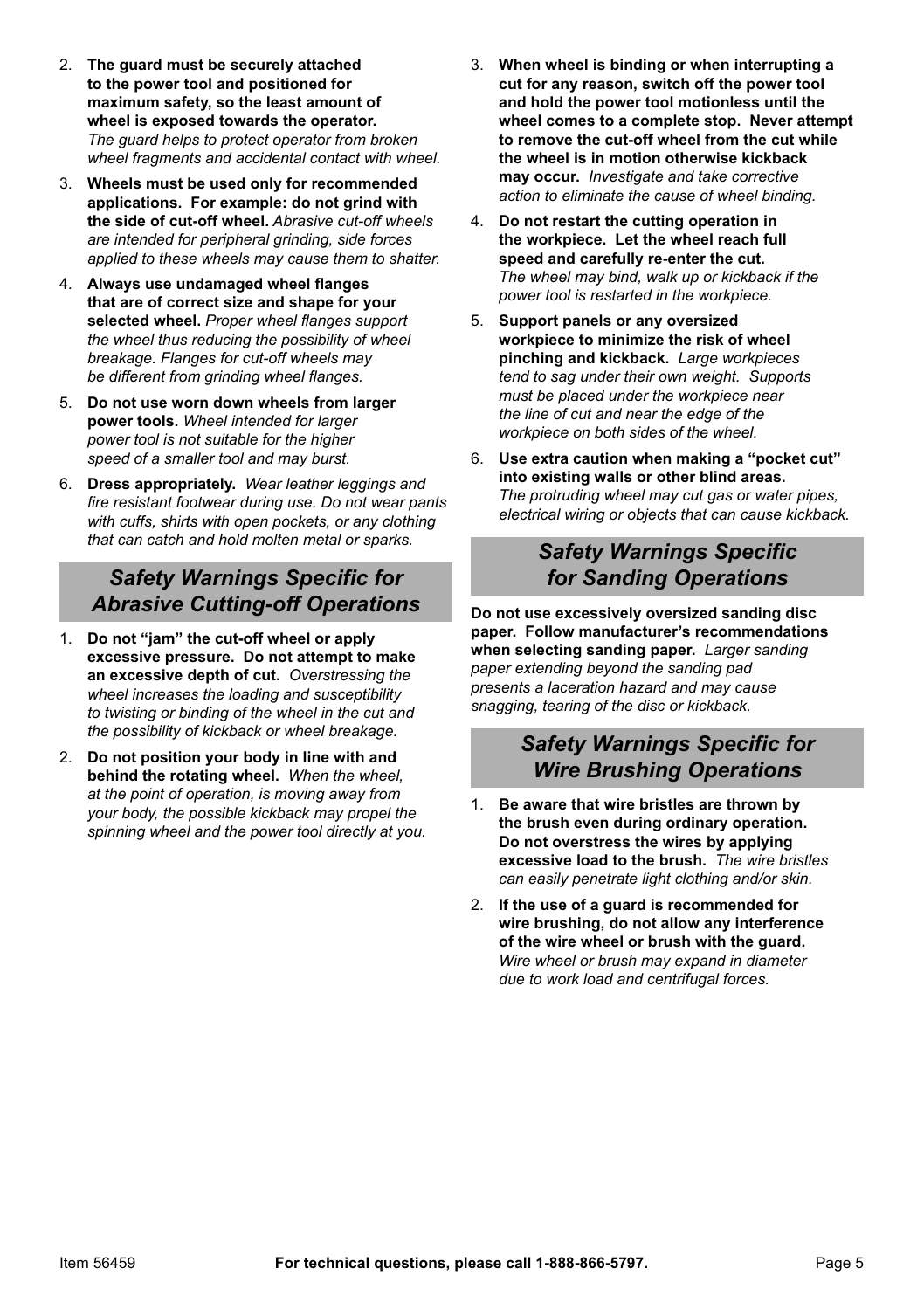- 2. **The guard must be securely attached to the power tool and positioned for maximum safety, so the least amount of wheel is exposed towards the operator.** *The quard helps to protect operator from broken wheel fragments and accidental contact with wheel.*
- 3. **Wheels must be used only for recommended applications. For example: do not grind with the side of cut-off wheel.** *Abrasive cut-off wheels*  are intended for peripheral grinding, side forces applied to these wheels may cause them to shatter.
- 4. **Always use undamaged wheel flanges that are of correct size and shape for your**  selected wheel. Proper wheel flanges support the wheel thus reducing the possibility of wheel *breakage. Flanges for cut-off wheels may be different from grinding wheel flanges.*
- 5. **Do not use worn down wheels from larger power tools.** *Wheel intended for larger power tool is not suitable for the higher* speed of a smaller tool and may burst.
- 6. **Dress appropriately.** *Wear leather leggings and <i>II II ICU/IIIII III ICO/IVEGIT during use. Do not wear pants* with cuffs, shirts with open pockets, or any clothing *that can catch and hold molten metal or sparks.*

#### *Safety Warnings Specific for Abrasive Cutting-off Operations*

- 1. **Do not "jam" the cut-off wheel or apply excessive pressure. Do not attempt to make an excessive depth of cut.** *Overstressing the*  wheel increases the loading and susceptibility *to twisting or binding of the wheel in the cut and the possibility of kickback or wheel breakage.*
- 2. **Do not position your body in line with and behind the rotating wheel.** *When the wheel,*  at the point of operation, is moving away from *vour body, the possible kickback may propel the* spinning wheel and the power tool directly at you.
- 3. **When wheel is binding or when interrupting a cut for any reason, switch off the power tool and hold the power tool motionless until the wheel comes to a complete stop. Never attempt to remove the cut-off wheel from the cut while the wheel is in motion otherwise kickback may occur.** *Investigate and take corrective action to eliminate the cause of wheel binding.*
- 4. **Do not restart the cutting operation in the workpiece. Let the wheel reach full speed and carefully re-enter the cut.** *The wheel may bind, walk up or kickback if the DOWER* tool is restarted in the workpiece.
- 5. **Support panels or any oversized workpiece to minimize the risk of wheel pinching** and **kickback**. Large workpieces *tend to sag under their own weight. Supports <i>PAYFH PAIRCED PAIRCED PAIRCED PAIRCED PAIRCED PAIRCED PAIRCED PAIRCED PAIRCED PAIRCED PAIRCED PAIRCED PAIRCED PAIRCED PAIRCED PAIRCED PAIRCED PAIRCED PAIRCED PAIRCED PAIRCED the line of cut and near the edge of the <u>Workpiece on both sides of the wheel.</u>*
- 6. **Use extra caution when making a "pocket cut" into existing walls or other blind areas.** The protruding wheel may cut gas or water pipes, *electrical wiring or objects that can cause kickback.*

#### *Safety Warnings Specific for Sanding Operations*

**Do not use excessively oversized sanding disc paper. Follow manufacturer's recommendations when selecting sanding paper.** *Larger sanding*  paper extending beyond the sanding pad *Dresents a laceration hazard and may cause snagging, tearing of the disc or kickback.*

### *Safety Warnings Specific for Wire Brushing Operations*

- 1. **Be aware that wire bristles are thrown by the brush even during ordinary operation. Do not overstress the wires by applying excessive load to the brush.** *The wire bristles*  can easily penetrate light clothing and/or skin.
- 2. **If the use of a guard is recommended for wire brushing, do not allow any interference of the wire wheel or brush with the guard.**  *Wire wheel or brush may expand in diameter due to work load and centrifugal forces.*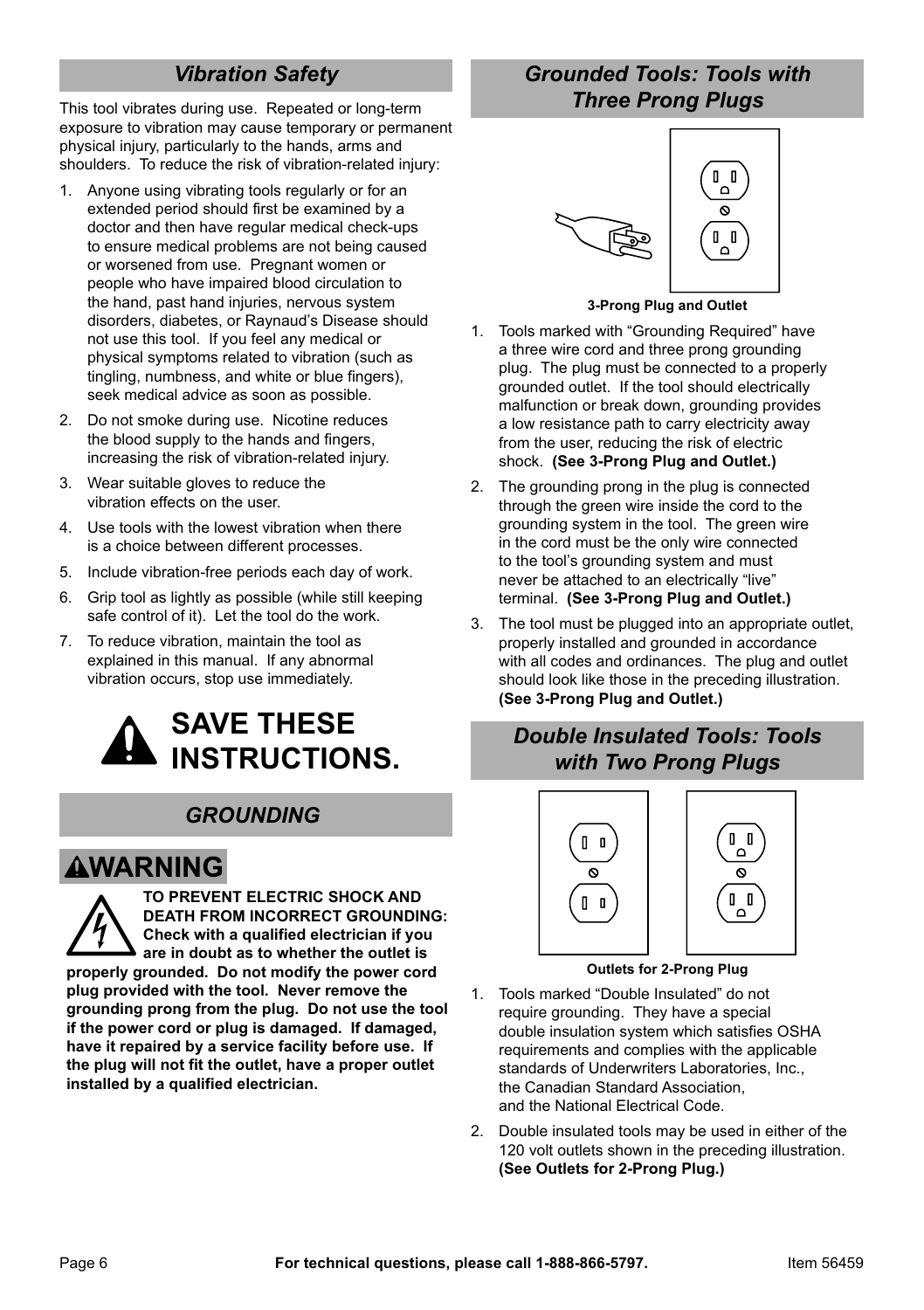## *Vibration Safety*

This tool vibrates during use. Repeated or long-term exposure to vibration may cause temporary or permanent physical injury, particularly to the hands, arms and shoulders. To reduce the risk of vibration-related injury:

- 1. Anyone using vibrating tools regularly or for an extended period should first be examined by a doctor and then have regular medical check-ups to ensure medical problems are not being caused or worsened from use. Pregnant women or people who have impaired blood circulation to the hand, past hand injuries, nervous system disorders, diabetes, or Raynaud's Disease should not use this tool. If you feel any medical or physical symptoms related to vibration (such as tingling, numbness, and white or blue fingers), seek medical advice as soon as possible.
- 2. Do not smoke during use. Nicotine reduces the blood supply to the hands and fingers, increasing the risk of vibration-related injury.
- 3. Wear suitable gloves to reduce the vibration effects on the user.
- 4. Use tools with the lowest vibration when there is a choice between different processes.
- 5. Include vibration-free periods each day of work.
- 6. Grip tool as lightly as possible (while still keeping safe control of it). Let the tool do the work.
- 7. To reduce vibration, maintain the tool as explained in this manual. If any abnormal vibration occurs, stop use immediately.



### *GROUNDING*

# **AWARNING**

**TO PREVENT ELECTRIC SHOCK AND DEATH FROM INCORRECT GROUNDING: Check with a qualified electrician if you are in doubt as to whether the outlet is properly grounded. Do not modify the power cord plug provided with the tool. Never remove the grounding prong from the plug. Do not use the tool if the power cord or plug is damaged. If damaged, have it repaired by a service facility before use. If the plug will not fit the outlet, have a proper outlet installed by a qualified electrician.**

### *Grounded Tools: Tools with Three Prong Plugs*



#### **3-Prong Plug and Outlet**

- 1. Tools marked with "Grounding Required" have a three wire cord and three prong grounding plug. The plug must be connected to a properly grounded outlet. If the tool should electrically malfunction or break down, grounding provides a low resistance path to carry electricity away from the user, reducing the risk of electric shock. **(See 3-Prong Plug and Outlet.)**
- 2. The grounding prong in the plug is connected through the green wire inside the cord to the grounding system in the tool. The green wire in the cord must be the only wire connected to the tool's grounding system and must never be attached to an electrically "live" terminal. **(See 3-Prong Plug and Outlet.)**
- 3. The tool must be plugged into an appropriate outlet, properly installed and grounded in accordance with all codes and ordinances. The plug and outlet should look like those in the preceding illustration. **(See 3-Prong Plug and Outlet.)**

## *Double Insulated Tools: Tools with Two Prong Plugs*



#### **Outlets for 2-Prong Plug**

- 1. Tools marked "Double Insulated" do not require grounding. They have a special double insulation system which satisfies OSHA requirements and complies with the applicable standards of Underwriters Laboratories, Inc., the Canadian Standard Association, and the National Electrical Code.
- 2. Double insulated tools may be used in either of the 120 volt outlets shown in the preceding illustration. **(See Outlets for 2-Prong Plug.)**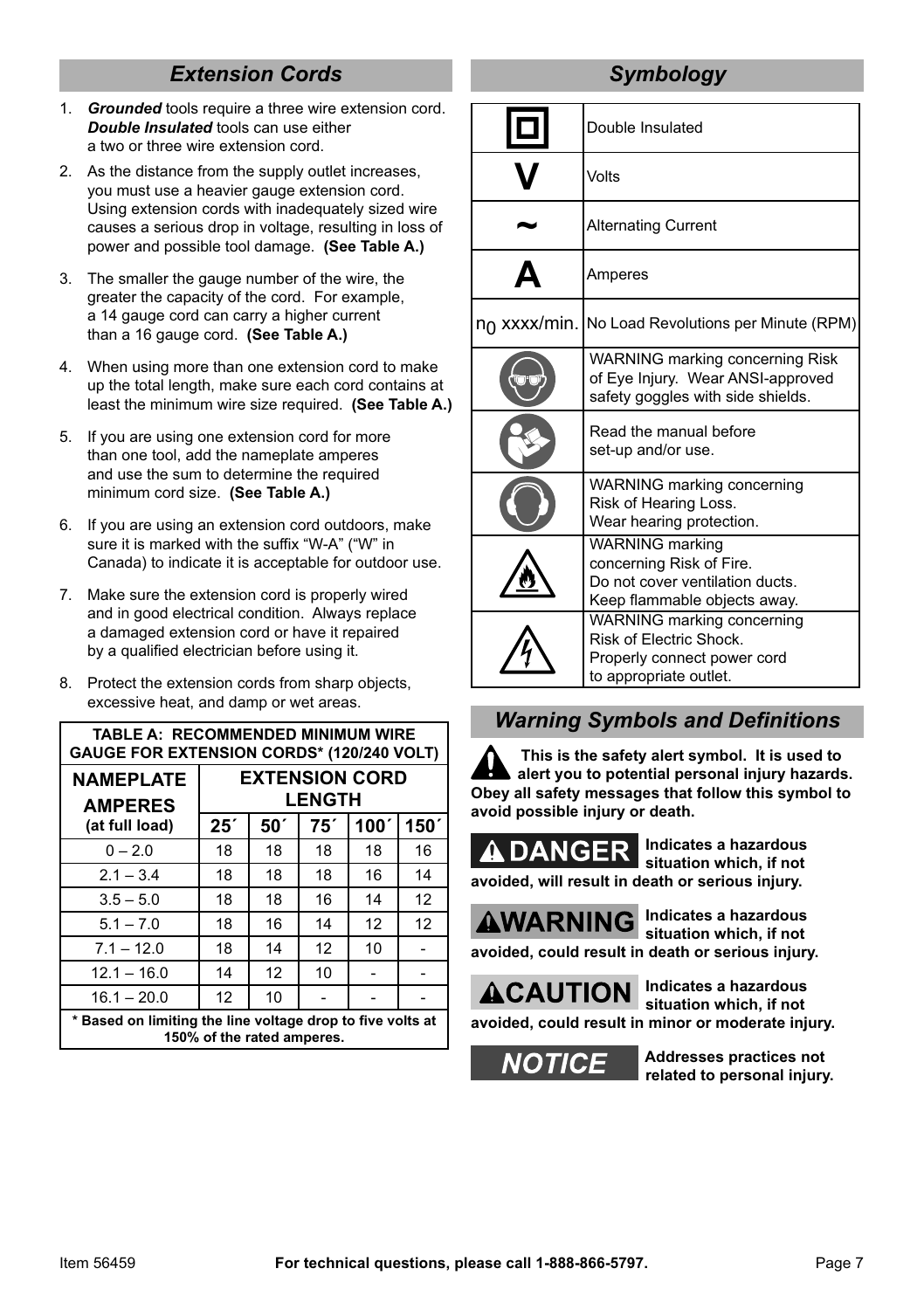# *Extension Cords*

- 1. *Grounded* tools require a three wire extension cord. *Double Insulated* tools can use either a two or three wire extension cord.
- 2. As the distance from the supply outlet increases you must use a heavier gauge extension cord. Using extension cords with inadequately sized wire causes a serious drop in voltage, resulting in loss of power and possible tool damage. **(See Table A.)**
- 3. The smaller the gauge number of the wire, the greater the capacity of the cord. For example, a 14 gauge cord can carry a higher current than a 16 gauge cord. **(See Table A.)**
- 4. When using more than one extension cord to make up the total length, make sure each cord contains at least the minimum wire size required. **(See Table A.)**
- 5. If you are using one extension cord for more than one tool, add the nameplate amperes and use the sum to determine the required minimum cord size. **(See Table A.)**
- 6. If you are using an extension cord outdoors, make sure it is marked with the suffix "W-A" ("W" in Canada) to indicate it is acceptable for outdoor use.
- 7. Make sure the extension cord is properly wired and in good electrical condition. Always replace a damaged extension cord or have it repaired by a qualified electrician before using it.
- 8. Protect the extension cords from sharp objects, excessive heat, and damp or wet areas.

| <b>TABLE A: RECOMMENDED MINIMUM WIRE</b><br><b>GAUGE FOR EXTENSION CORDS* (120/240 VOLT)</b> |                                        |                 |     |      |      |  |  |
|----------------------------------------------------------------------------------------------|----------------------------------------|-----------------|-----|------|------|--|--|
| <b>NAMEPLATE</b><br><b>AMPERES</b>                                                           | <b>EXTENSION CORD</b><br><b>LENGTH</b> |                 |     |      |      |  |  |
| (at full load)                                                                               | 25 <sup>′</sup>                        | 50 <sup>′</sup> | 75' | 100' | 150' |  |  |
| $0 - 2.0$                                                                                    | 18                                     | 18              | 18  | 18   | 16   |  |  |
| $2.1 - 3.4$                                                                                  | 18                                     | 18              | 18  | 16   | 14   |  |  |
| $3.5 - 5.0$                                                                                  | 18                                     | 18              | 16  | 14   | 12   |  |  |
| $5.1 - 7.0$                                                                                  | 18                                     | 16              | 14  | 12   | 12   |  |  |
| $7.1 - 12.0$                                                                                 | 18                                     | 14              | 12  | 10   |      |  |  |
| $12.1 - 16.0$                                                                                | 14                                     | 12              | 10  |      |      |  |  |
| $16.1 - 20.0$                                                                                | 12                                     | 10              |     |      |      |  |  |
| * Based on limiting the line voltage drop to five volts at<br>150% of the rated amperes.     |                                        |                 |     |      |      |  |  |

# *Symbology*

| Double Insulated                                                                                                      |  |  |
|-----------------------------------------------------------------------------------------------------------------------|--|--|
| Volts                                                                                                                 |  |  |
| <b>Alternating Current</b>                                                                                            |  |  |
| Amperes                                                                                                               |  |  |
| no xxxx/min. No Load Revolutions per Minute (RPM)                                                                     |  |  |
| WARNING marking concerning Risk<br>of Eye Injury. Wear ANSI-approved<br>safety goggles with side shields.             |  |  |
| Read the manual before<br>set-up and/or use.                                                                          |  |  |
| WARNING marking concerning<br>Risk of Hearing Loss.<br>Wear hearing protection.                                       |  |  |
| <b>WARNING</b> marking<br>concerning Risk of Fire.<br>Do not cover ventilation ducts.<br>Keep flammable objects away. |  |  |
| WARNING marking concerning<br>Risk of Electric Shock.<br>Properly connect power cord<br>to appropriate outlet.        |  |  |

## *Warning Symbols and Definitions*

**This is the safety alert symbol. It is used to alert you to potential personal injury hazards. Obey all safety messages that follow this symbol to avoid possible injury or death.**

**Indicates a hazardous situation which, if not avoided, will result in death or serious injury.**

**AWARNING** 

**Indicates a hazardous situation which, if not avoided, could result in death or serious injury.**

**ACAUTION** 

**Indicates a hazardous situation which, if not** 

**avoided, could result in minor or moderate injury.**



**Addresses practices not related to personal injury.**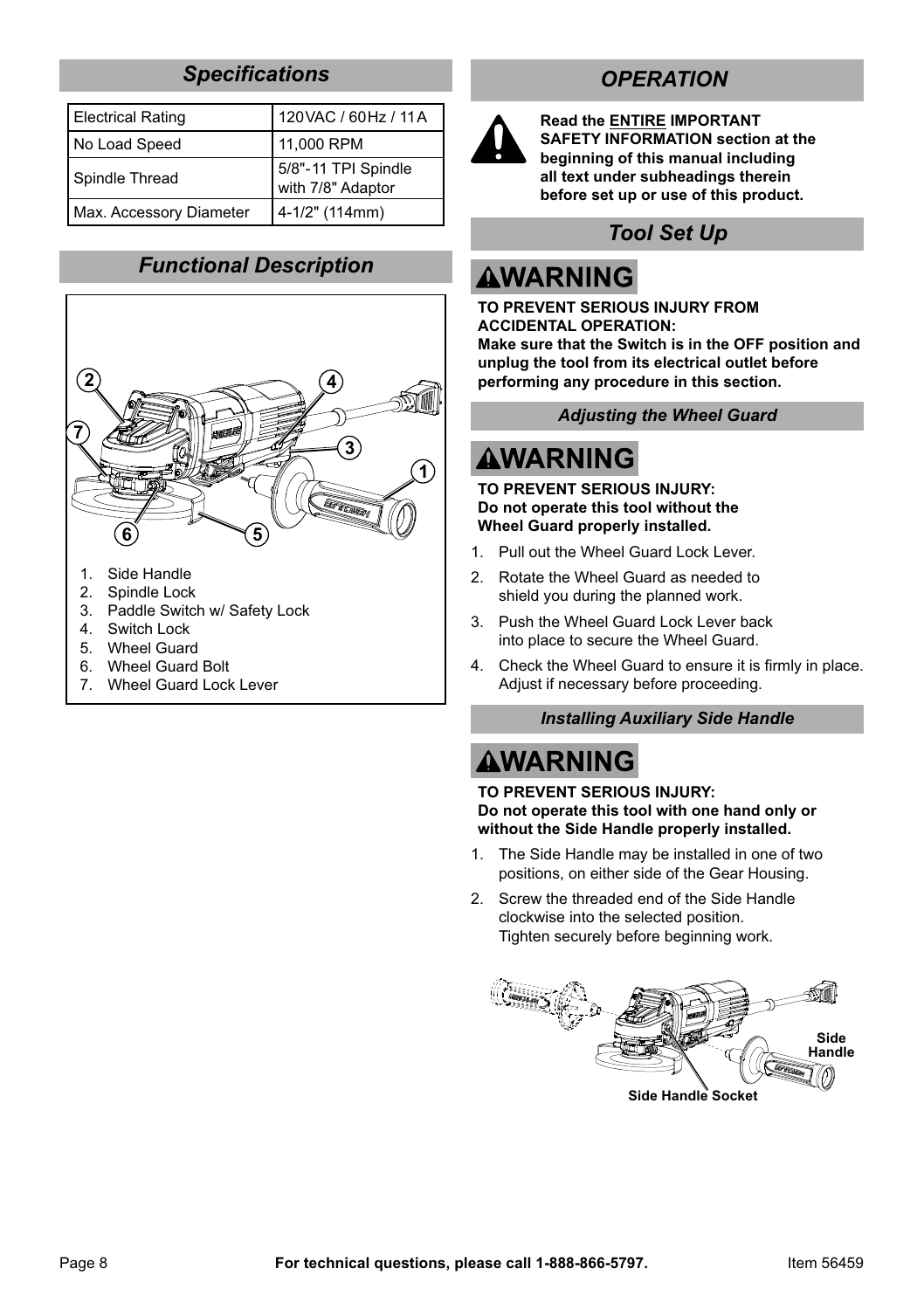## *Specifications*

| Electrical Rating       | 120 VAC / 60 Hz / 11 A                   |  |
|-------------------------|------------------------------------------|--|
| No Load Speed           | 11,000 RPM                               |  |
| Spindle Thread          | 5/8"-11 TPI Spindle<br>with 7/8" Adaptor |  |
| Max. Accessory Diameter | 4-1/2" (114mm)                           |  |

## *Functional Description*



- 1. Side Handle
- 2. Spindle Lock
- 3. Paddle Switch w/ Safety Lock
- 4. Switch Lock
- 5. Wheel Guard
- 6. Wheel Guard Bolt
- 7. Wheel Guard Lock Lever

## *OPERATION*



**Read the ENTIRE IMPORTANT SAFETY INFORMATION section at the beginning of this manual including all text under subheadings therein before set up or use of this product.**

# *Tool Set Up*

# **AWARNING**

**TO PREVENT SERIOUS INJURY FROM ACCIDENTAL OPERATION: Make sure that the Switch is in the OFF position and unplug the tool from its electrical outlet before performing any procedure in this section.**

*Adjusting the Wheel Guard*

# **AWARNING**

**TO PREVENT SERIOUS INJURY: Do not operate this tool without the Wheel Guard properly installed.**

- 1. Pull out the Wheel Guard Lock Lever.
- 2. Rotate the Wheel Guard as needed to shield you during the planned work.
- 3. Push the Wheel Guard Lock Lever back into place to secure the Wheel Guard.
- 4. Check the Wheel Guard to ensure it is firmly in place. Adjust if necessary before proceeding.

#### *Installing Auxiliary Side Handle*

# **AWARNING**

**TO PREVENT SERIOUS INJURY: Do not operate this tool with one hand only or without the Side Handle properly installed.**

- 1. The Side Handle may be installed in one of two positions, on either side of the Gear Housing.
- 2. Screw the threaded end of the Side Handle clockwise into the selected position. Tighten securely before beginning work.

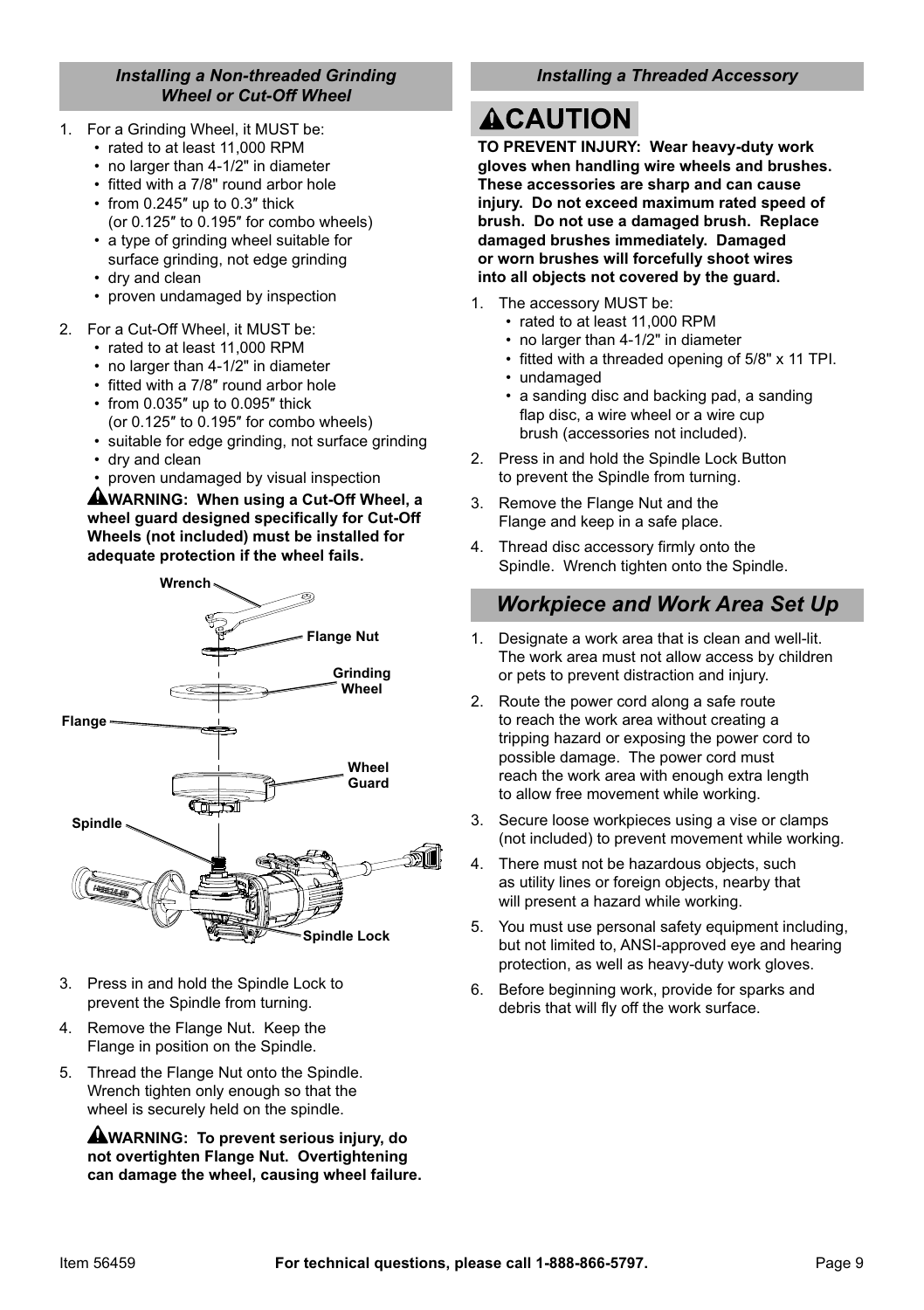#### *Installing a Non-threaded Grinding Wheel or Cut-Off Wheel*

- 1. For a Grinding Wheel, it MUST be:
	- rated to at least 11,000 RPM
	- no larger than 4-1/2" in diameter
	- fitted with a 7/8" round arbor hole
	- from 0.245″ up to 0.3″ thick (or 0.125″ to 0.195″ for combo wheels)
	- a type of grinding wheel suitable for surface grinding, not edge grinding
	- dry and clean
	- proven undamaged by inspection
- 2. For a Cut-Off Wheel, it MUST be:
	- rated to at least 11,000 RPM
	- no larger than 4-1/2" in diameter
	- fitted with a 7/8" round arbor hole
	- from 0.035″ up to 0.095″ thick (or 0.125″ to 0.195″ for combo wheels)
	- suitable for edge grinding, not surface grinding
	- dry and clean
	- proven undamaged by visual inspection

**WARNING: When using a Cut-Off Wheel, a wheel guard designed specifically for Cut-Off Wheels (not included) must be installed for adequate protection if the wheel fails.**



- 3. Press in and hold the Spindle Lock to prevent the Spindle from turning.
- 4. Remove the Flange Nut. Keep the Flange in position on the Spindle.
- 5. Thread the Flange Nut onto the Spindle. Wrench tighten only enough so that the wheel is securely held on the spindle.

**WARNING: To prevent serious injury, do not overtighten Flange Nut. Overtightening can damage the wheel, causing wheel failure.**

#### *Installing a Threaded Accessory*

# **ACAUTION**

**TO PREVENT INJURY: Wear heavy-duty work gloves when handling wire wheels and brushes. These accessories are sharp and can cause injury. Do not exceed maximum rated speed of brush. Do not use a damaged brush. Replace damaged brushes immediately. Damaged or worn brushes will forcefully shoot wires into all objects not covered by the guard.**

- 1. The accessory MUST be:
	- rated to at least 11,000 RPM
	- no larger than 4-1/2" in diameter
	- fitted with a threaded opening of 5/8" x 11 TPI.
	- undamaged
	- a sanding disc and backing pad, a sanding flap disc, a wire wheel or a wire cup brush (accessories not included).
- 2. Press in and hold the Spindle Lock Button to prevent the Spindle from turning.
- 3. Remove the Flange Nut and the Flange and keep in a safe place.
- 4. Thread disc accessory firmly onto the Spindle. Wrench tighten onto the Spindle.

### *Workpiece and Work Area Set Up*

- 1. Designate a work area that is clean and well-lit. The work area must not allow access by children or pets to prevent distraction and injury.
- 2. Route the power cord along a safe route to reach the work area without creating a tripping hazard or exposing the power cord to possible damage. The power cord must reach the work area with enough extra length to allow free movement while working.
- 3. Secure loose workpieces using a vise or clamps (not included) to prevent movement while working.
- 4. There must not be hazardous objects, such as utility lines or foreign objects, nearby that will present a hazard while working.
- 5. You must use personal safety equipment including, but not limited to, ANSI-approved eye and hearing protection, as well as heavy-duty work gloves.
- 6. Before beginning work, provide for sparks and debris that will fly off the work surface.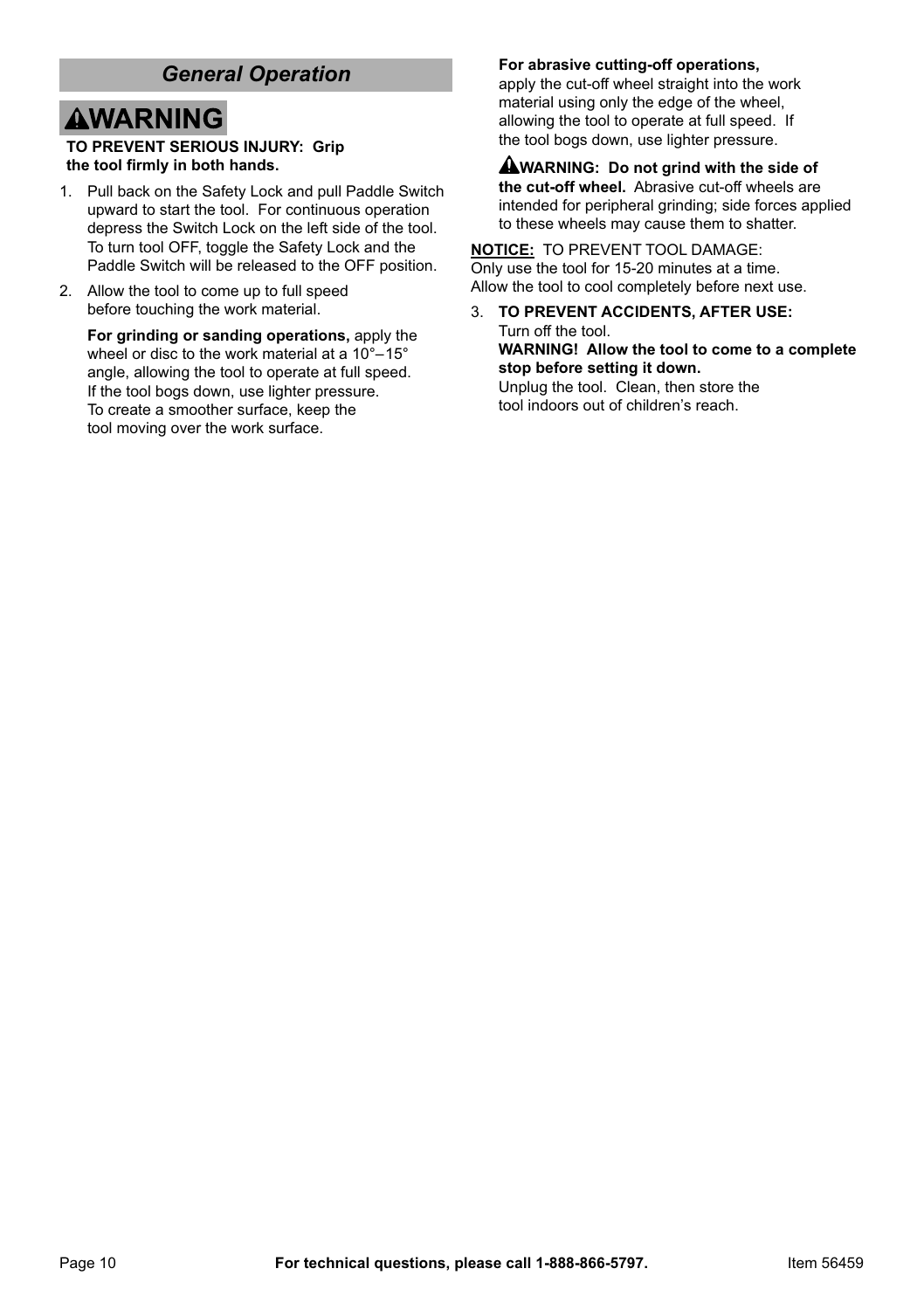### *General Operation*

# **AWARNING**

#### **TO PREVENT SERIOUS INJURY: Grip the tool firmly in both hands.**

- 1. Pull back on the Safety Lock and pull Paddle Switch upward to start the tool. For continuous operation depress the Switch Lock on the left side of the tool. To turn tool OFF, toggle the Safety Lock and the Paddle Switch will be released to the OFF position.
- 2. Allow the tool to come up to full speed before touching the work material.

**For grinding or sanding operations,** apply the wheel or disc to the work material at a 10°–15° angle, allowing the tool to operate at full speed. If the tool bogs down, use lighter pressure. To create a smoother surface, keep the tool moving over the work surface.

#### **For abrasive cutting-off operations,**

apply the cut-off wheel straight into the work material using only the edge of the wheel, allowing the tool to operate at full speed. If the tool bogs down, use lighter pressure.

**WARNING: Do not grind with the side of the cut-off wheel.** Abrasive cut-off wheels are intended for peripheral grinding; side forces applied to these wheels may cause them to shatter.

**NOTICE:** TO PREVENT TOOL DAMAGE: Only use the tool for 15-20 minutes at a time. Allow the tool to cool completely before next use.

3. **TO PREVENT ACCIDENTS, AFTER USE:** Turn off the tool. **WARNING! Allow the tool to come to a complete stop before setting it down.** Unplug the tool. Clean, then store the tool indoors out of children's reach.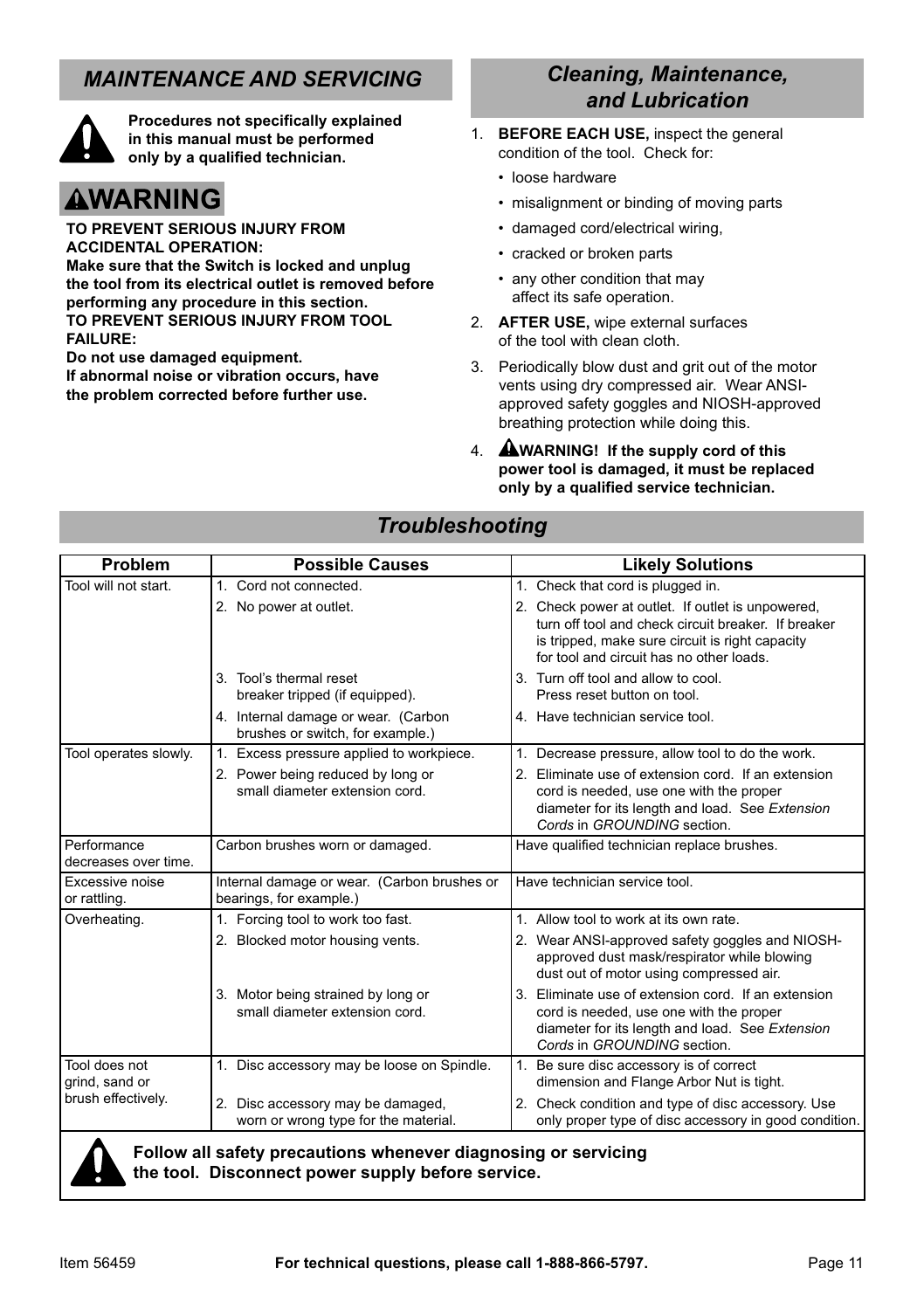## *MAINTENANCE AND SERVICING*



**Procedures not specifically explained in this manual must be performed only by a qualified technician.**

# **AWARNING**

**TO PREVENT SERIOUS INJURY FROM ACCIDENTAL OPERATION:**

**Make sure that the Switch is locked and unplug the tool from its electrical outlet is removed before performing any procedure in this section. TO PREVENT SERIOUS INJURY FROM TOOL FAILURE:**

**Do not use damaged equipment.** 

**If abnormal noise or vibration occurs, have the problem corrected before further use.**

### *Cleaning, Maintenance, and Lubrication*

- 1. **BEFORE EACH USE,** inspect the general condition of the tool. Check for:
	- loose hardware
	- misalignment or binding of moving parts
	- damaged cord/electrical wiring,
	- cracked or broken parts
	- any other condition that may affect its safe operation.
- 2. **AFTER USE,** wipe external surfaces of the tool with clean cloth.
- 3. Periodically blow dust and grit out of the motor vents using dry compressed air. Wear ANSIapproved safety goggles and NIOSH-approved breathing protection while doing this.
- 4. **WARNING! If the supply cord of this power tool is damaged, it must be replaced only by a qualified service technician.**

## *Troubleshooting*

| Problem                                                        | <b>Possible Causes</b>                                                    | <b>Likely Solutions</b>                                                                                                                                                                                 |  |  |  |
|----------------------------------------------------------------|---------------------------------------------------------------------------|---------------------------------------------------------------------------------------------------------------------------------------------------------------------------------------------------------|--|--|--|
| Tool will not start.                                           | 1. Cord not connected.                                                    | 1. Check that cord is plugged in.                                                                                                                                                                       |  |  |  |
|                                                                | 2. No power at outlet.                                                    | 2. Check power at outlet. If outlet is unpowered,<br>turn off tool and check circuit breaker. If breaker<br>is tripped, make sure circuit is right capacity<br>for tool and circuit has no other loads. |  |  |  |
|                                                                | 3. Tool's thermal reset<br>breaker tripped (if equipped).                 | 3. Turn off tool and allow to cool.<br>Press reset button on tool.                                                                                                                                      |  |  |  |
|                                                                | 4. Internal damage or wear. (Carbon<br>brushes or switch, for example.)   | 4. Have technician service tool.                                                                                                                                                                        |  |  |  |
| Tool operates slowly.                                          | 1. Excess pressure applied to workpiece.                                  | 1. Decrease pressure, allow tool to do the work.                                                                                                                                                        |  |  |  |
|                                                                | 2. Power being reduced by long or<br>small diameter extension cord.       | 2. Eliminate use of extension cord. If an extension<br>cord is needed, use one with the proper<br>diameter for its length and load. See Extension<br>Cords in GROUNDING section.                        |  |  |  |
| Performance<br>decreases over time.                            | Carbon brushes worn or damaged.                                           | Have qualified technician replace brushes.                                                                                                                                                              |  |  |  |
| Excessive noise<br>or rattling.                                | Internal damage or wear. (Carbon brushes or<br>bearings, for example.)    | Have technician service tool.                                                                                                                                                                           |  |  |  |
| Overheating.                                                   | 1. Forcing tool to work too fast.                                         | 1. Allow tool to work at its own rate.                                                                                                                                                                  |  |  |  |
|                                                                | 2. Blocked motor housing vents.                                           | 2. Wear ANSI-approved safety goggles and NIOSH-<br>approved dust mask/respirator while blowing<br>dust out of motor using compressed air.                                                               |  |  |  |
|                                                                | 3. Motor being strained by long or<br>small diameter extension cord.      | 3. Eliminate use of extension cord. If an extension<br>cord is needed, use one with the proper<br>diameter for its length and load. See Extension<br>Cords in GROUNDING section.                        |  |  |  |
| Tool does not<br>grind, sand or<br>brush effectively.          | 1. Disc accessory may be loose on Spindle.                                | 1. Be sure disc accessory is of correct<br>dimension and Flange Arbor Nut is tight.                                                                                                                     |  |  |  |
|                                                                | 2. Disc accessory may be damaged,<br>worn or wrong type for the material. | 2. Check condition and type of disc accessory. Use<br>only proper type of disc accessory in good condition.                                                                                             |  |  |  |
| Follow all safety precautions whenever diagnosing or servicing |                                                                           |                                                                                                                                                                                                         |  |  |  |

**the tool. Disconnect power supply before service.**